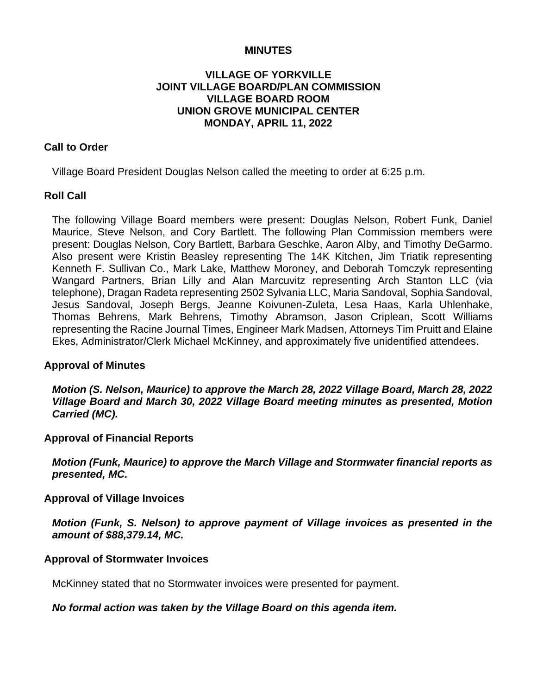### **MINUTES**

## **VILLAGE OF YORKVILLE JOINT VILLAGE BOARD/PLAN COMMISSION VILLAGE BOARD ROOM UNION GROVE MUNICIPAL CENTER MONDAY, APRIL 11, 2022**

## **Call to Order**

Village Board President Douglas Nelson called the meeting to order at 6:25 p.m.

### **Roll Call**

The following Village Board members were present: Douglas Nelson, Robert Funk, Daniel Maurice, Steve Nelson, and Cory Bartlett. The following Plan Commission members were present: Douglas Nelson, Cory Bartlett, Barbara Geschke, Aaron Alby, and Timothy DeGarmo. Also present were Kristin Beasley representing The 14K Kitchen, Jim Triatik representing Kenneth F. Sullivan Co., Mark Lake, Matthew Moroney, and Deborah Tomczyk representing Wangard Partners, Brian Lilly and Alan Marcuvitz representing Arch Stanton LLC (via telephone), Dragan Radeta representing 2502 Sylvania LLC, Maria Sandoval, Sophia Sandoval, Jesus Sandoval, Joseph Bergs, Jeanne Koivunen-Zuleta, Lesa Haas, Karla Uhlenhake, Thomas Behrens, Mark Behrens, Timothy Abramson, Jason Criplean, Scott Williams representing the Racine Journal Times, Engineer Mark Madsen, Attorneys Tim Pruitt and Elaine Ekes, Administrator/Clerk Michael McKinney, and approximately five unidentified attendees.

#### **Approval of Minutes**

*Motion (S. Nelson, Maurice) to approve the March 28, 2022 Village Board, March 28, 2022 Village Board and March 30, 2022 Village Board meeting minutes as presented, Motion Carried (MC).*

#### **Approval of Financial Reports**

*Motion (Funk, Maurice) to approve the March Village and Stormwater financial reports as presented, MC.*

#### **Approval of Village Invoices**

*Motion (Funk, S. Nelson) to approve payment of Village invoices as presented in the amount of \$88,379.14, MC.*

#### **Approval of Stormwater Invoices**

McKinney stated that no Stormwater invoices were presented for payment.

#### *No formal action was taken by the Village Board on this agenda item.*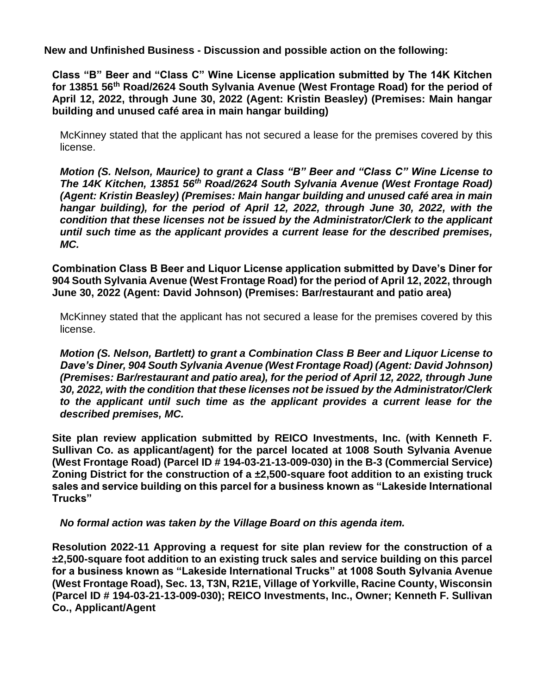**New and Unfinished Business - Discussion and possible action on the following:**

**Class "B" Beer and "Class C" Wine License application submitted by The 14K Kitchen for 13851 56th Road/2624 South Sylvania Avenue (West Frontage Road) for the period of April 12, 2022, through June 30, 2022 (Agent: Kristin Beasley) (Premises: Main hangar building and unused café area in main hangar building)**

McKinney stated that the applicant has not secured a lease for the premises covered by this license.

*Motion (S. Nelson, Maurice) to grant a Class "B" Beer and "Class C" Wine License to The 14K Kitchen, 13851 56th Road/2624 South Sylvania Avenue (West Frontage Road) (Agent: Kristin Beasley) (Premises: Main hangar building and unused café area in main hangar building), for the period of April 12, 2022, through June 30, 2022, with the condition that these licenses not be issued by the Administrator/Clerk to the applicant until such time as the applicant provides a current lease for the described premises, MC.*

**Combination Class B Beer and Liquor License application submitted by Dave's Diner for 904 South Sylvania Avenue (West Frontage Road) for the period of April 12, 2022, through June 30, 2022 (Agent: David Johnson) (Premises: Bar/restaurant and patio area)**

McKinney stated that the applicant has not secured a lease for the premises covered by this license.

*Motion (S. Nelson, Bartlett) to grant a Combination Class B Beer and Liquor License to Dave's Diner, 904 South Sylvania Avenue (West Frontage Road) (Agent: David Johnson) (Premises: Bar/restaurant and patio area), for the period of April 12, 2022, through June 30, 2022, with the condition that these licenses not be issued by the Administrator/Clerk to the applicant until such time as the applicant provides a current lease for the described premises, MC.*

**Site plan review application submitted by REICO Investments, Inc. (with Kenneth F. Sullivan Co. as applicant/agent) for the parcel located at 1008 South Sylvania Avenue (West Frontage Road) (Parcel ID # 194-03-21-13-009-030) in the B-3 (Commercial Service) Zoning District for the construction of a ±2,500-square foot addition to an existing truck sales and service building on this parcel for a business known as "Lakeside International Trucks"**

*No formal action was taken by the Village Board on this agenda item.*

**Resolution 2022-11 Approving a request for site plan review for the construction of a ±2,500-square foot addition to an existing truck sales and service building on this parcel for a business known as "Lakeside International Trucks" at 1008 South Sylvania Avenue (West Frontage Road), Sec. 13, T3N, R21E, Village of Yorkville, Racine County, Wisconsin (Parcel ID # 194-03-21-13-009-030); REICO Investments, Inc., Owner; Kenneth F. Sullivan Co., Applicant/Agent**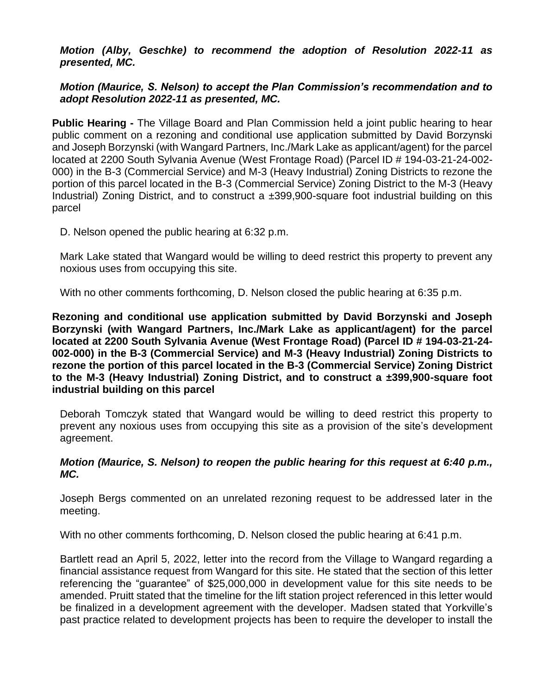*Motion (Alby, Geschke) to recommend the adoption of Resolution 2022-11 as presented, MC.*

# *Motion (Maurice, S. Nelson) to accept the Plan Commission's recommendation and to adopt Resolution 2022-11 as presented, MC.*

**Public Hearing -** The Village Board and Plan Commission held a joint public hearing to hear public comment on a rezoning and conditional use application submitted by David Borzynski and Joseph Borzynski (with Wangard Partners, Inc./Mark Lake as applicant/agent) for the parcel located at 2200 South Sylvania Avenue (West Frontage Road) (Parcel ID # 194-03-21-24-002- 000) in the B-3 (Commercial Service) and M-3 (Heavy Industrial) Zoning Districts to rezone the portion of this parcel located in the B-3 (Commercial Service) Zoning District to the M-3 (Heavy Industrial) Zoning District, and to construct a ±399,900-square foot industrial building on this parcel

D. Nelson opened the public hearing at 6:32 p.m.

Mark Lake stated that Wangard would be willing to deed restrict this property to prevent any noxious uses from occupying this site.

With no other comments forthcoming, D. Nelson closed the public hearing at 6:35 p.m.

**Rezoning and conditional use application submitted by David Borzynski and Joseph Borzynski (with Wangard Partners, Inc./Mark Lake as applicant/agent) for the parcel located at 2200 South Sylvania Avenue (West Frontage Road) (Parcel ID # 194-03-21-24- 002-000) in the B-3 (Commercial Service) and M-3 (Heavy Industrial) Zoning Districts to rezone the portion of this parcel located in the B-3 (Commercial Service) Zoning District to the M-3 (Heavy Industrial) Zoning District, and to construct a ±399,900-square foot industrial building on this parcel**

Deborah Tomczyk stated that Wangard would be willing to deed restrict this property to prevent any noxious uses from occupying this site as a provision of the site's development agreement.

### *Motion (Maurice, S. Nelson) to reopen the public hearing for this request at 6:40 p.m., MC.*

Joseph Bergs commented on an unrelated rezoning request to be addressed later in the meeting.

With no other comments forthcoming, D. Nelson closed the public hearing at 6:41 p.m.

Bartlett read an April 5, 2022, letter into the record from the Village to Wangard regarding a financial assistance request from Wangard for this site. He stated that the section of this letter referencing the "guarantee" of \$25,000,000 in development value for this site needs to be amended. Pruitt stated that the timeline for the lift station project referenced in this letter would be finalized in a development agreement with the developer. Madsen stated that Yorkville's past practice related to development projects has been to require the developer to install the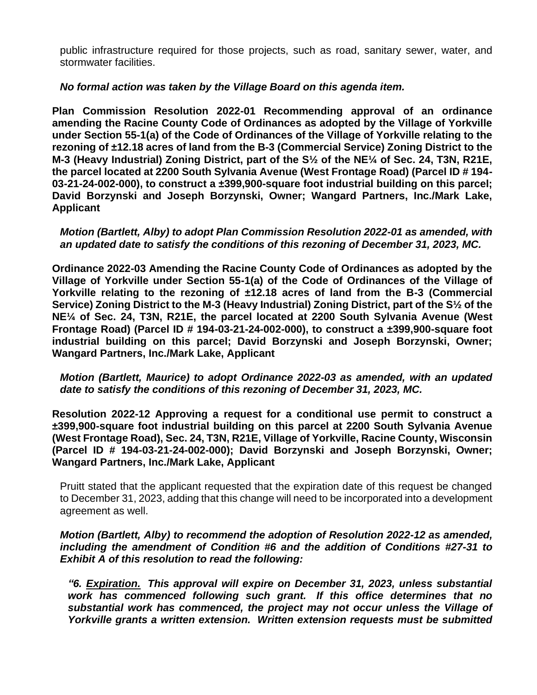public infrastructure required for those projects, such as road, sanitary sewer, water, and stormwater facilities.

*No formal action was taken by the Village Board on this agenda item.*

**Plan Commission Resolution 2022-01 Recommending approval of an ordinance amending the Racine County Code of Ordinances as adopted by the Village of Yorkville under Section 55-1(a) of the Code of Ordinances of the Village of Yorkville relating to the rezoning of ±12.18 acres of land from the B-3 (Commercial Service) Zoning District to the M-3 (Heavy Industrial) Zoning District, part of the S½ of the NE¼ of Sec. 24, T3N, R21E, the parcel located at 2200 South Sylvania Avenue (West Frontage Road) (Parcel ID # 194- 03-21-24-002-000), to construct a ±399,900-square foot industrial building on this parcel; David Borzynski and Joseph Borzynski, Owner; Wangard Partners, Inc./Mark Lake, Applicant**

*Motion (Bartlett, Alby) to adopt Plan Commission Resolution 2022-01 as amended, with an updated date to satisfy the conditions of this rezoning of December 31, 2023, MC.*

**Ordinance 2022-03 Amending the Racine County Code of Ordinances as adopted by the Village of Yorkville under Section 55-1(a) of the Code of Ordinances of the Village of Yorkville relating to the rezoning of ±12.18 acres of land from the B-3 (Commercial Service) Zoning District to the M-3 (Heavy Industrial) Zoning District, part of the S½ of the NE¼ of Sec. 24, T3N, R21E, the parcel located at 2200 South Sylvania Avenue (West Frontage Road) (Parcel ID # 194-03-21-24-002-000), to construct a ±399,900-square foot industrial building on this parcel; David Borzynski and Joseph Borzynski, Owner; Wangard Partners, Inc./Mark Lake, Applicant**

*Motion (Bartlett, Maurice) to adopt Ordinance 2022-03 as amended, with an updated date to satisfy the conditions of this rezoning of December 31, 2023, MC.*

**Resolution 2022-12 Approving a request for a conditional use permit to construct a ±399,900-square foot industrial building on this parcel at 2200 South Sylvania Avenue (West Frontage Road), Sec. 24, T3N, R21E, Village of Yorkville, Racine County, Wisconsin (Parcel ID # 194-03-21-24-002-000); David Borzynski and Joseph Borzynski, Owner; Wangard Partners, Inc./Mark Lake, Applicant**

Pruitt stated that the applicant requested that the expiration date of this request be changed to December 31, 2023, adding that this change will need to be incorporated into a development agreement as well.

*Motion (Bartlett, Alby) to recommend the adoption of Resolution 2022-12 as amended, including the amendment of Condition #6 and the addition of Conditions #27-31 to Exhibit A of this resolution to read the following:*

*"6. Expiration. This approval will expire on December 31, 2023, unless substantial work has commenced following such grant. If this office determines that no substantial work has commenced, the project may not occur unless the Village of Yorkville grants a written extension. Written extension requests must be submitted*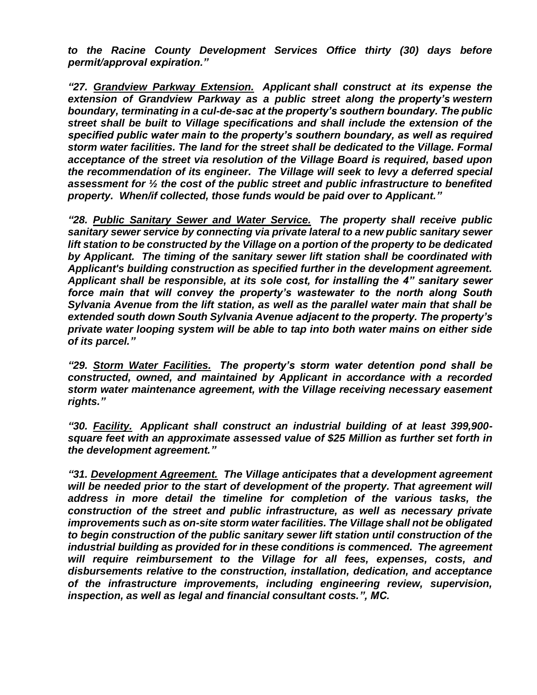*to the Racine County Development Services Office thirty (30) days before permit/approval expiration."*

*"27. Grandview Parkway Extension. Applicant shall construct at its expense the extension of Grandview Parkway as a public street along the property's western boundary, terminating in a cul-de-sac at the property's southern boundary. The public street shall be built to Village specifications and shall include the extension of the specified public water main to the property's southern boundary, as well as required storm water facilities. The land for the street shall be dedicated to the Village. Formal acceptance of the street via resolution of the Village Board is required, based upon the recommendation of its engineer. The Village will seek to levy a deferred special assessment for ½ the cost of the public street and public infrastructure to benefited property. When/if collected, those funds would be paid over to Applicant."*

*"28. Public Sanitary Sewer and Water Service. The property shall receive public sanitary sewer service by connecting via private lateral to a new public sanitary sewer lift station to be constructed by the Village on a portion of the property to be dedicated by Applicant. The timing of the sanitary sewer lift station shall be coordinated with Applicant's building construction as specified further in the development agreement. Applicant shall be responsible, at its sole cost, for installing the 4" sanitary sewer force main that will convey the property's wastewater to the north along South Sylvania Avenue from the lift station, as well as the parallel water main that shall be extended south down South Sylvania Avenue adjacent to the property. The property's private water looping system will be able to tap into both water mains on either side of its parcel."*

*"29. Storm Water Facilities. The property's storm water detention pond shall be constructed, owned, and maintained by Applicant in accordance with a recorded storm water maintenance agreement, with the Village receiving necessary easement rights."*

*"30. Facility. Applicant shall construct an industrial building of at least 399,900 square feet with an approximate assessed value of \$25 Million as further set forth in the development agreement."*

*"31. Development Agreement. The Village anticipates that a development agreement*  will be needed prior to the start of development of the property. That agreement will *address in more detail the timeline for completion of the various tasks, the construction of the street and public infrastructure, as well as necessary private improvements such as on-site storm water facilities. The Village shall not be obligated to begin construction of the public sanitary sewer lift station until construction of the industrial building as provided for in these conditions is commenced. The agreement will require reimbursement to the Village for all fees, expenses, costs, and disbursements relative to the construction, installation, dedication, and acceptance of the infrastructure improvements, including engineering review, supervision, inspection, as well as legal and financial consultant costs.", MC.*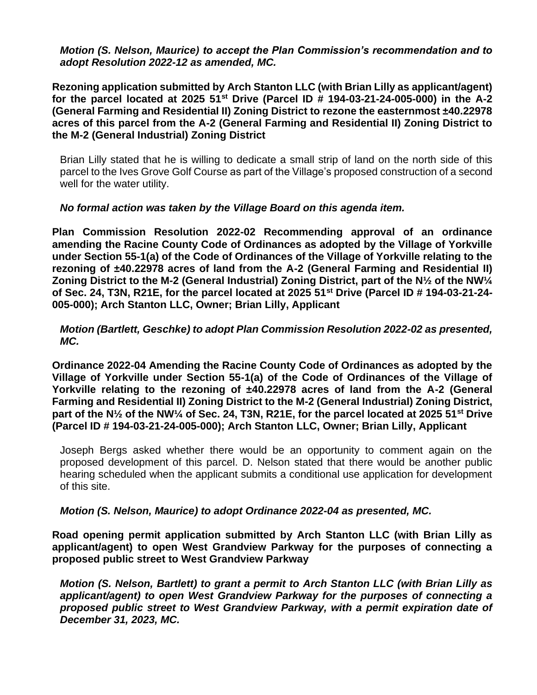*Motion (S. Nelson, Maurice) to accept the Plan Commission's recommendation and to adopt Resolution 2022-12 as amended, MC.*

**Rezoning application submitted by Arch Stanton LLC (with Brian Lilly as applicant/agent) for the parcel located at 2025 51st Drive (Parcel ID # 194-03-21-24-005-000) in the A-2 (General Farming and Residential II) Zoning District to rezone the easternmost ±40.22978 acres of this parcel from the A-2 (General Farming and Residential II) Zoning District to the M-2 (General Industrial) Zoning District**

Brian Lilly stated that he is willing to dedicate a small strip of land on the north side of this parcel to the Ives Grove Golf Course as part of the Village's proposed construction of a second well for the water utility.

# *No formal action was taken by the Village Board on this agenda item.*

**Plan Commission Resolution 2022-02 Recommending approval of an ordinance amending the Racine County Code of Ordinances as adopted by the Village of Yorkville under Section 55-1(a) of the Code of Ordinances of the Village of Yorkville relating to the rezoning of ±40.22978 acres of land from the A-2 (General Farming and Residential II) Zoning District to the M-2 (General Industrial) Zoning District, part of the N½ of the NW¼ of Sec. 24, T3N, R21E, for the parcel located at 2025 51st Drive (Parcel ID # 194-03-21-24- 005-000); Arch Stanton LLC, Owner; Brian Lilly, Applicant**

*Motion (Bartlett, Geschke) to adopt Plan Commission Resolution 2022-02 as presented, MC.*

**Ordinance 2022-04 Amending the Racine County Code of Ordinances as adopted by the Village of Yorkville under Section 55-1(a) of the Code of Ordinances of the Village of Yorkville relating to the rezoning of ±40.22978 acres of land from the A-2 (General Farming and Residential II) Zoning District to the M-2 (General Industrial) Zoning District, part of the N½ of the NW¼ of Sec. 24, T3N, R21E, for the parcel located at 2025 51st Drive (Parcel ID # 194-03-21-24-005-000); Arch Stanton LLC, Owner; Brian Lilly, Applicant**

Joseph Bergs asked whether there would be an opportunity to comment again on the proposed development of this parcel. D. Nelson stated that there would be another public hearing scheduled when the applicant submits a conditional use application for development of this site.

# *Motion (S. Nelson, Maurice) to adopt Ordinance 2022-04 as presented, MC.*

**Road opening permit application submitted by Arch Stanton LLC (with Brian Lilly as applicant/agent) to open West Grandview Parkway for the purposes of connecting a proposed public street to West Grandview Parkway**

*Motion (S. Nelson, Bartlett) to grant a permit to Arch Stanton LLC (with Brian Lilly as applicant/agent) to open West Grandview Parkway for the purposes of connecting a proposed public street to West Grandview Parkway, with a permit expiration date of December 31, 2023, MC.*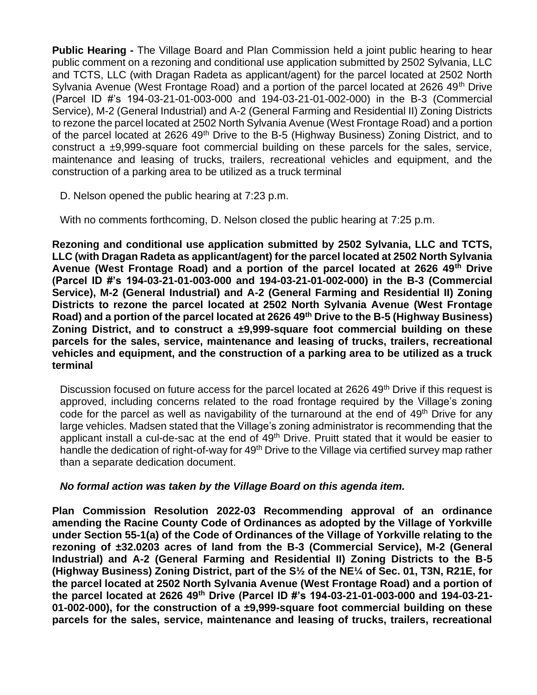**Public Hearing -** The Village Board and Plan Commission held a joint public hearing to hear public comment on a rezoning and conditional use application submitted by 2502 Sylvania, LLC and TCTS, LLC (with Dragan Radeta as applicant/agent) for the parcel located at 2502 North Sylvania Avenue (West Frontage Road) and a portion of the parcel located at 2626 49<sup>th</sup> Drive (Parcel ID #'s 194-03-21-01-003-000 and 194-03-21-01-002-000) in the B-3 (Commercial Service), M-2 (General Industrial) and A-2 (General Farming and Residential II) Zoning Districts to rezone the parcel located at 2502 North Sylvania Avenue (West Frontage Road) and a portion of the parcel located at 2626 49<sup>th</sup> Drive to the B-5 (Highway Business) Zoning District, and to construct a ±9,999-square foot commercial building on these parcels for the sales, service, maintenance and leasing of trucks, trailers, recreational vehicles and equipment, and the construction of a parking area to be utilized as a truck terminal

D. Nelson opened the public hearing at 7:23 p.m.

With no comments forthcoming, D. Nelson closed the public hearing at 7:25 p.m.

**Rezoning and conditional use application submitted by 2502 Sylvania, LLC and TCTS, LLC (with Dragan Radeta as applicant/agent) for the parcel located at 2502 North Sylvania Avenue (West Frontage Road) and a portion of the parcel located at 2626 49th Drive (Parcel ID #'s 194-03-21-01-003-000 and 194-03-21-01-002-000) in the B-3 (Commercial Service), M-2 (General Industrial) and A-2 (General Farming and Residential II) Zoning Districts to rezone the parcel located at 2502 North Sylvania Avenue (West Frontage Road) and a portion of the parcel located at 2626 49th Drive to the B-5 (Highway Business) Zoning District, and to construct a ±9,999-square foot commercial building on these parcels for the sales, service, maintenance and leasing of trucks, trailers, recreational vehicles and equipment, and the construction of a parking area to be utilized as a truck terminal**

Discussion focused on future access for the parcel located at 2626 49<sup>th</sup> Drive if this request is approved, including concerns related to the road frontage required by the Village's zoning code for the parcel as well as navigability of the turnaround at the end of 49<sup>th</sup> Drive for any large vehicles. Madsen stated that the Village's zoning administrator is recommending that the applicant install a cul-de-sac at the end of 49<sup>th</sup> Drive. Pruitt stated that it would be easier to handle the dedication of right-of-way for 49<sup>th</sup> Drive to the Village via certified survey map rather than a separate dedication document.

# *No formal action was taken by the Village Board on this agenda item.*

**Plan Commission Resolution 2022-03 Recommending approval of an ordinance amending the Racine County Code of Ordinances as adopted by the Village of Yorkville under Section 55-1(a) of the Code of Ordinances of the Village of Yorkville relating to the rezoning of ±32.0203 acres of land from the B-3 (Commercial Service), M-2 (General Industrial) and A-2 (General Farming and Residential II) Zoning Districts to the B-5 (Highway Business) Zoning District, part of the S½ of the NE¼ of Sec. 01, T3N, R21E, for the parcel located at 2502 North Sylvania Avenue (West Frontage Road) and a portion of the parcel located at 2626 49th Drive (Parcel ID #'s 194-03-21-01-003-000 and 194-03-21- 01-002-000), for the construction of a ±9,999-square foot commercial building on these parcels for the sales, service, maintenance and leasing of trucks, trailers, recreational**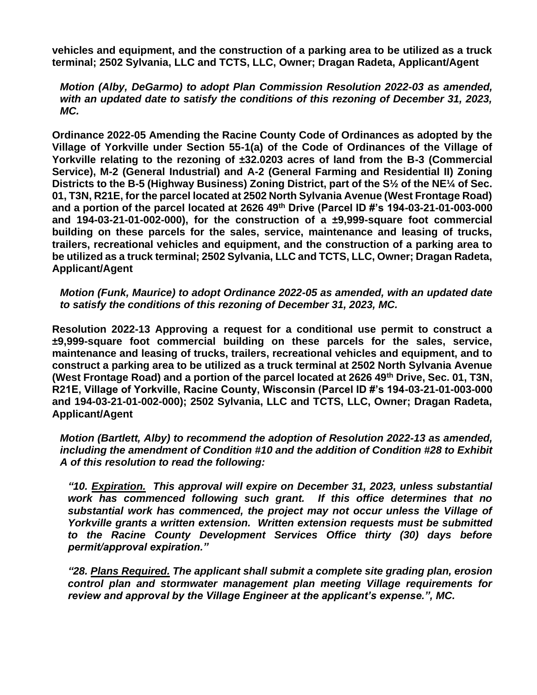**vehicles and equipment, and the construction of a parking area to be utilized as a truck terminal; 2502 Sylvania, LLC and TCTS, LLC, Owner; Dragan Radeta, Applicant/Agent**

*Motion (Alby, DeGarmo) to adopt Plan Commission Resolution 2022-03 as amended, with an updated date to satisfy the conditions of this rezoning of December 31, 2023, MC.*

**Ordinance 2022-05 Amending the Racine County Code of Ordinances as adopted by the Village of Yorkville under Section 55-1(a) of the Code of Ordinances of the Village of Yorkville relating to the rezoning of ±32.0203 acres of land from the B-3 (Commercial Service), M-2 (General Industrial) and A-2 (General Farming and Residential II) Zoning Districts to the B-5 (Highway Business) Zoning District, part of the S½ of the NE¼ of Sec. 01, T3N, R21E, for the parcel located at 2502 North Sylvania Avenue (West Frontage Road) and a portion of the parcel located at 2626 49th Drive (Parcel ID #'s 194-03-21-01-003-000 and 194-03-21-01-002-000), for the construction of a ±9,999-square foot commercial building on these parcels for the sales, service, maintenance and leasing of trucks, trailers, recreational vehicles and equipment, and the construction of a parking area to be utilized as a truck terminal; 2502 Sylvania, LLC and TCTS, LLC, Owner; Dragan Radeta, Applicant/Agent**

*Motion (Funk, Maurice) to adopt Ordinance 2022-05 as amended, with an updated date to satisfy the conditions of this rezoning of December 31, 2023, MC.*

**Resolution 2022-13 Approving a request for a conditional use permit to construct a ±9,999-square foot commercial building on these parcels for the sales, service, maintenance and leasing of trucks, trailers, recreational vehicles and equipment, and to construct a parking area to be utilized as a truck terminal at 2502 North Sylvania Avenue (West Frontage Road) and a portion of the parcel located at 2626 49th Drive, Sec. 01, T3N, R21E, Village of Yorkville, Racine County, Wisconsin (Parcel ID #'s 194-03-21-01-003-000 and 194-03-21-01-002-000); 2502 Sylvania, LLC and TCTS, LLC, Owner; Dragan Radeta, Applicant/Agent**

*Motion (Bartlett, Alby) to recommend the adoption of Resolution 2022-13 as amended, including the amendment of Condition #10 and the addition of Condition #28 to Exhibit A of this resolution to read the following:*

*"10. Expiration. This approval will expire on December 31, 2023, unless substantial work has commenced following such grant. If this office determines that no substantial work has commenced, the project may not occur unless the Village of Yorkville grants a written extension. Written extension requests must be submitted to the Racine County Development Services Office thirty (30) days before permit/approval expiration."*

*"28. Plans Required. The applicant shall submit a complete site grading plan, erosion control plan and stormwater management plan meeting Village requirements for review and approval by the Village Engineer at the applicant's expense.", MC.*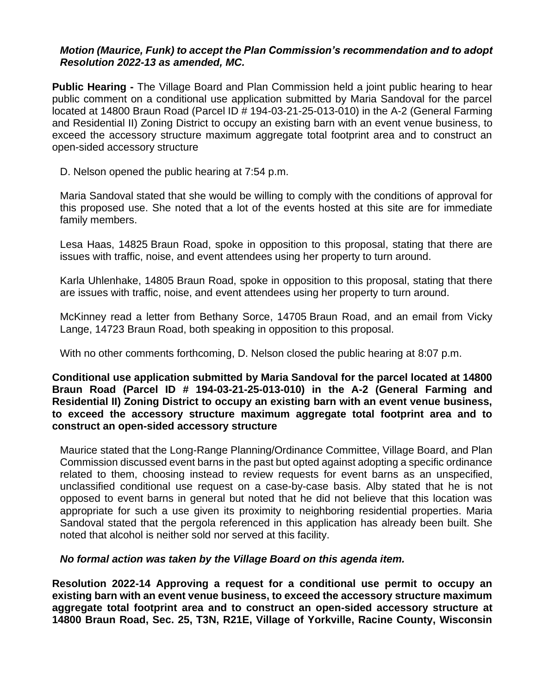# *Motion (Maurice, Funk) to accept the Plan Commission's recommendation and to adopt Resolution 2022-13 as amended, MC.*

**Public Hearing -** The Village Board and Plan Commission held a joint public hearing to hear public comment on a conditional use application submitted by Maria Sandoval for the parcel located at 14800 Braun Road (Parcel ID # 194-03-21-25-013-010) in the A-2 (General Farming and Residential II) Zoning District to occupy an existing barn with an event venue business, to exceed the accessory structure maximum aggregate total footprint area and to construct an open-sided accessory structure

D. Nelson opened the public hearing at 7:54 p.m.

Maria Sandoval stated that she would be willing to comply with the conditions of approval for this proposed use. She noted that a lot of the events hosted at this site are for immediate family members.

Lesa Haas, 14825 Braun Road, spoke in opposition to this proposal, stating that there are issues with traffic, noise, and event attendees using her property to turn around.

Karla Uhlenhake, 14805 Braun Road, spoke in opposition to this proposal, stating that there are issues with traffic, noise, and event attendees using her property to turn around.

McKinney read a letter from Bethany Sorce, 14705 Braun Road, and an email from Vicky Lange, 14723 Braun Road, both speaking in opposition to this proposal.

With no other comments forthcoming, D. Nelson closed the public hearing at 8:07 p.m.

## **Conditional use application submitted by Maria Sandoval for the parcel located at 14800 Braun Road (Parcel ID # 194-03-21-25-013-010) in the A-2 (General Farming and Residential II) Zoning District to occupy an existing barn with an event venue business, to exceed the accessory structure maximum aggregate total footprint area and to construct an open-sided accessory structure**

Maurice stated that the Long-Range Planning/Ordinance Committee, Village Board, and Plan Commission discussed event barns in the past but opted against adopting a specific ordinance related to them, choosing instead to review requests for event barns as an unspecified, unclassified conditional use request on a case-by-case basis. Alby stated that he is not opposed to event barns in general but noted that he did not believe that this location was appropriate for such a use given its proximity to neighboring residential properties. Maria Sandoval stated that the pergola referenced in this application has already been built. She noted that alcohol is neither sold nor served at this facility.

# *No formal action was taken by the Village Board on this agenda item.*

**Resolution 2022-14 Approving a request for a conditional use permit to occupy an existing barn with an event venue business, to exceed the accessory structure maximum aggregate total footprint area and to construct an open-sided accessory structure at 14800 Braun Road, Sec. 25, T3N, R21E, Village of Yorkville, Racine County, Wisconsin**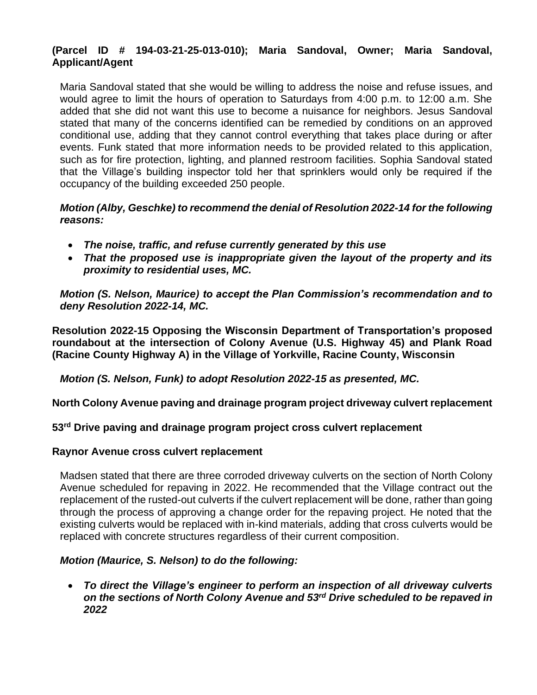# **(Parcel ID # 194-03-21-25-013-010); Maria Sandoval, Owner; Maria Sandoval, Applicant/Agent**

Maria Sandoval stated that she would be willing to address the noise and refuse issues, and would agree to limit the hours of operation to Saturdays from 4:00 p.m. to 12:00 a.m. She added that she did not want this use to become a nuisance for neighbors. Jesus Sandoval stated that many of the concerns identified can be remedied by conditions on an approved conditional use, adding that they cannot control everything that takes place during or after events. Funk stated that more information needs to be provided related to this application, such as for fire protection, lighting, and planned restroom facilities. Sophia Sandoval stated that the Village's building inspector told her that sprinklers would only be required if the occupancy of the building exceeded 250 people.

# *Motion (Alby, Geschke) to recommend the denial of Resolution 2022-14 for the following reasons:*

- *The noise, traffic, and refuse currently generated by this use*
- *That the proposed use is inappropriate given the layout of the property and its proximity to residential uses, MC.*

*Motion (S. Nelson, Maurice) to accept the Plan Commission's recommendation and to deny Resolution 2022-14, MC.*

**Resolution 2022-15 Opposing the Wisconsin Department of Transportation's proposed roundabout at the intersection of Colony Avenue (U.S. Highway 45) and Plank Road (Racine County Highway A) in the Village of Yorkville, Racine County, Wisconsin**

*Motion (S. Nelson, Funk) to adopt Resolution 2022-15 as presented, MC.*

**North Colony Avenue paving and drainage program project driveway culvert replacement**

# **53rd Drive paving and drainage program project cross culvert replacement**

# **Raynor Avenue cross culvert replacement**

Madsen stated that there are three corroded driveway culverts on the section of North Colony Avenue scheduled for repaving in 2022. He recommended that the Village contract out the replacement of the rusted-out culverts if the culvert replacement will be done, rather than going through the process of approving a change order for the repaving project. He noted that the existing culverts would be replaced with in-kind materials, adding that cross culverts would be replaced with concrete structures regardless of their current composition.

# *Motion (Maurice, S. Nelson) to do the following:*

• *To direct the Village's engineer to perform an inspection of all driveway culverts on the sections of North Colony Avenue and 53rd Drive scheduled to be repaved in 2022*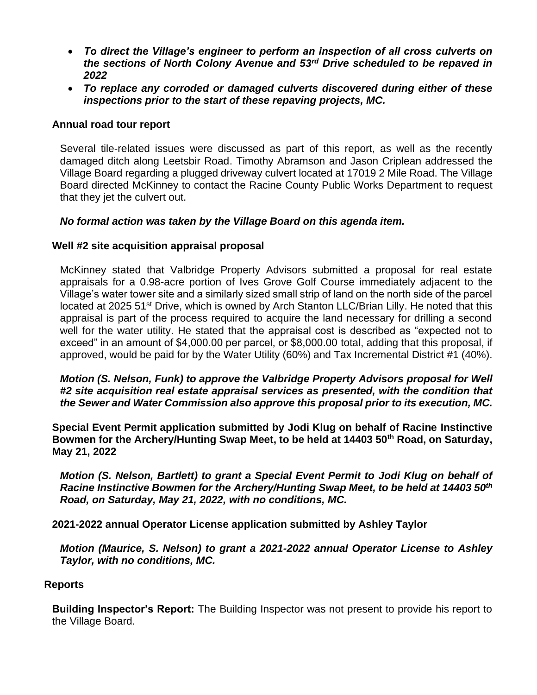- *To direct the Village's engineer to perform an inspection of all cross culverts on the sections of North Colony Avenue and 53rd Drive scheduled to be repaved in 2022*
- *To replace any corroded or damaged culverts discovered during either of these inspections prior to the start of these repaving projects, MC.*

# **Annual road tour report**

Several tile-related issues were discussed as part of this report, as well as the recently damaged ditch along Leetsbir Road. Timothy Abramson and Jason Criplean addressed the Village Board regarding a plugged driveway culvert located at 17019 2 Mile Road. The Village Board directed McKinney to contact the Racine County Public Works Department to request that they jet the culvert out.

# *No formal action was taken by the Village Board on this agenda item.*

# **Well #2 site acquisition appraisal proposal**

McKinney stated that Valbridge Property Advisors submitted a proposal for real estate appraisals for a 0.98-acre portion of Ives Grove Golf Course immediately adjacent to the Village's water tower site and a similarly sized small strip of land on the north side of the parcel located at 2025 51<sup>st</sup> Drive, which is owned by Arch Stanton LLC/Brian Lilly. He noted that this appraisal is part of the process required to acquire the land necessary for drilling a second well for the water utility. He stated that the appraisal cost is described as "expected not to exceed" in an amount of \$4,000.00 per parcel, or \$8,000.00 total, adding that this proposal, if approved, would be paid for by the Water Utility (60%) and Tax Incremental District #1 (40%).

*Motion (S. Nelson, Funk) to approve the Valbridge Property Advisors proposal for Well #2 site acquisition real estate appraisal services as presented, with the condition that the Sewer and Water Commission also approve this proposal prior to its execution, MC.*

**Special Event Permit application submitted by Jodi Klug on behalf of Racine Instinctive Bowmen for the Archery/Hunting Swap Meet, to be held at 14403 50th Road, on Saturday, May 21, 2022**

*Motion (S. Nelson, Bartlett) to grant a Special Event Permit to Jodi Klug on behalf of Racine Instinctive Bowmen for the Archery/Hunting Swap Meet, to be held at 14403 50th Road, on Saturday, May 21, 2022, with no conditions, MC.*

**2021-2022 annual Operator License application submitted by Ashley Taylor**

*Motion (Maurice, S. Nelson) to grant a 2021-2022 annual Operator License to Ashley Taylor, with no conditions, MC.*

# **Reports**

**Building Inspector's Report:** The Building Inspector was not present to provide his report to the Village Board.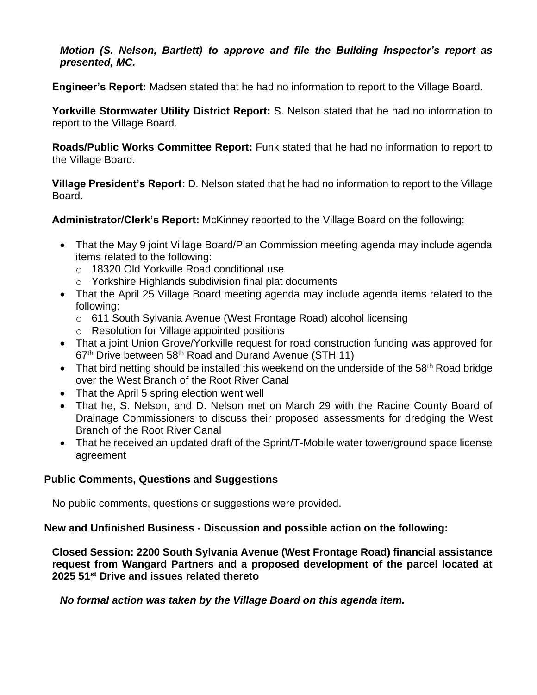# *Motion (S. Nelson, Bartlett) to approve and file the Building Inspector's report as presented, MC.*

**Engineer's Report:** Madsen stated that he had no information to report to the Village Board.

**Yorkville Stormwater Utility District Report:** S. Nelson stated that he had no information to report to the Village Board.

**Roads/Public Works Committee Report:** Funk stated that he had no information to report to the Village Board.

**Village President's Report:** D. Nelson stated that he had no information to report to the Village Board.

**Administrator/Clerk's Report:** McKinney reported to the Village Board on the following:

- That the May 9 joint Village Board/Plan Commission meeting agenda may include agenda items related to the following:
	- o 18320 Old Yorkville Road conditional use
	- o Yorkshire Highlands subdivision final plat documents
- That the April 25 Village Board meeting agenda may include agenda items related to the following:
	- o 611 South Sylvania Avenue (West Frontage Road) alcohol licensing
	- o Resolution for Village appointed positions
- That a joint Union Grove/Yorkville request for road construction funding was approved for 67<sup>th</sup> Drive between 58<sup>th</sup> Road and Durand Avenue (STH 11)
- That bird netting should be installed this weekend on the underside of the  $58<sup>th</sup>$  Road bridge over the West Branch of the Root River Canal
- That the April 5 spring election went well
- That he, S. Nelson, and D. Nelson met on March 29 with the Racine County Board of Drainage Commissioners to discuss their proposed assessments for dredging the West Branch of the Root River Canal
- That he received an updated draft of the Sprint/T-Mobile water tower/ground space license agreement

# **Public Comments, Questions and Suggestions**

No public comments, questions or suggestions were provided.

**New and Unfinished Business - Discussion and possible action on the following:**

**Closed Session: 2200 South Sylvania Avenue (West Frontage Road) financial assistance request from Wangard Partners and a proposed development of the parcel located at 2025 51st Drive and issues related thereto**

*No formal action was taken by the Village Board on this agenda item.*